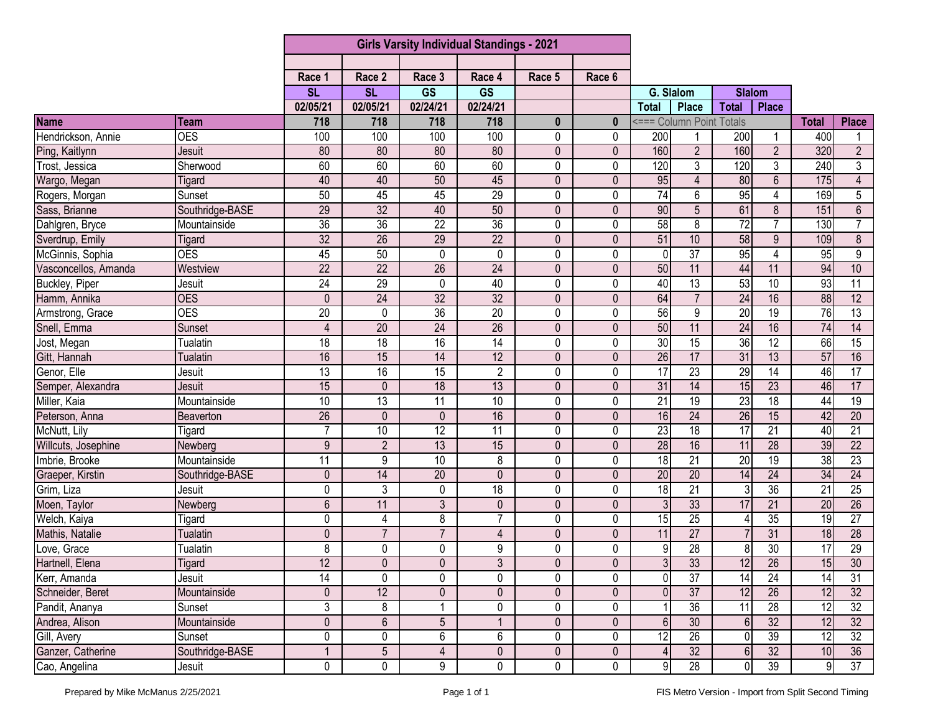|                                    |                 | <b>Girls Varsity Individual Standings - 2021</b> |                 |                 |                 |                |                |                         |                          |                  |                 |                 |                         |
|------------------------------------|-----------------|--------------------------------------------------|-----------------|-----------------|-----------------|----------------|----------------|-------------------------|--------------------------|------------------|-----------------|-----------------|-------------------------|
|                                    |                 |                                                  |                 |                 |                 |                |                |                         |                          |                  |                 |                 |                         |
|                                    |                 | Race 1                                           | Race 2          | Race 3          | Race 4          | Race 5         | Race 6         |                         |                          |                  |                 |                 |                         |
|                                    |                 | <b>SL</b>                                        | <b>SL</b>       | <b>GS</b>       | <b>GS</b>       |                |                | G. Slalom               |                          | <b>Slalom</b>    |                 |                 |                         |
|                                    |                 | 02/05/21                                         | 02/05/21        | 02/24/21        | 02/24/21        |                |                | <b>Total</b>            | <b>Place</b>             | <b>Total</b>     | <b>Place</b>    |                 |                         |
| <b>Name</b>                        | Team            | 718                                              | 718             | 718             | 718             | $\mathbf{0}$   | $\bf{0}$       |                         | <=== Column Point Totals |                  |                 | <b>Total</b>    | <b>Place</b>            |
| Hendrickson, Annie                 | <b>OES</b>      | 100                                              | 100             | 100             | 100             | $\mathbf{0}$   | $\mathbf{0}$   | 200                     |                          | 200              |                 | 400             |                         |
| Ping, Kaitlynn                     | Jesuit          | 80                                               | 80              | 80              | 80              | $\mathbf{0}$   | 0              | 160                     | $\overline{2}$           | 160              | $\overline{2}$  | 320             | $\overline{2}$          |
| Trost, Jessica                     | Sherwood        | 60                                               | 60              | 60              | 60              | 0              | 0              | 120                     | 3                        | 120              | 3               | 240             | 3                       |
| Wargo, Megan                       | Tigard          | 40                                               | 40              | 50              | 45              | $\mathbf{0}$   | 0              | 95                      | 4                        | 80               | 6               | 175             | 4                       |
| Rogers, Morgan                     | Sunset          | 50                                               | 45              | 45              | 29              | 0              | 0              | $\overline{74}$         | 6                        | 95               | 4               | 169             | $\overline{5}$          |
| Sass, Brianne                      | Southridge-BASE | 29                                               | $\overline{32}$ | 40              | 50              | $\mathbf 0$    | 0              | 90                      | 5                        | 61               | 8               | 151             | $6\phantom{a}$          |
| Dahlgren, Bryce<br>Sverdrup, Emily | Mountainside    | 36                                               | $\overline{36}$ | $\overline{22}$ | $\overline{36}$ | 0              | 0              | 58                      | 8                        | $\overline{72}$  | $\overline{7}$  | 130             | $\overline{7}$          |
|                                    | Tigard          | 32                                               | $\overline{26}$ | 29              | $\overline{22}$ | $\overline{0}$ | $\overline{0}$ | 51                      | 10                       | 58               | $\overline{9}$  | 109             | $\overline{\mathbf{8}}$ |
| McGinnis, Sophia                   | <b>OES</b>      | 45                                               | 50              | 0               | 0               | 0              | 0              | 0                       | $\overline{37}$          | 95               | 4               | 95              | $\boldsymbol{9}$        |
| Vasconcellos, Amanda               | Westview        | $\overline{22}$                                  | $\overline{22}$ | $\overline{26}$ | $\overline{24}$ | 0              | 0              | 50                      | 11                       | 44               | 11              | 94              | 10                      |
| Buckley, Piper                     | Jesuit          | 24                                               | 29              | $\mathbf 0$     | 40              | $\mathbf 0$    | 0              | 40                      | $\overline{13}$          | 53               | $\overline{10}$ | 93              | 11                      |
| Hamm, Annika                       | <b>OES</b>      | $\mathbf{0}$                                     | 24              | $\overline{32}$ | $\overline{32}$ | $\mathbf 0$    | 0              | 64                      | $\overline{7}$           | 24               | 16              | 88              | $\overline{12}$         |
| Armstrong, Grace                   | <b>OES</b>      | $\overline{20}$                                  | $\mathbf 0$     | 36              | $\overline{20}$ | 0              | $\mathbf{0}$   | 56                      | 9                        | $\overline{20}$  | 19              | 76              | $\overline{13}$         |
| Snell, Emma                        | <b>Sunset</b>   | $\overline{4}$                                   | $\overline{20}$ | $\overline{24}$ | $\overline{26}$ | $\mathbf{0}$   | 0              | $\overline{50}$         | 11                       | 24               | 16              | $\overline{74}$ | 14                      |
| Jost, Megan                        | <b>Tualatin</b> | $\overline{18}$                                  | $\overline{18}$ | 16              | 14              | 0              | 0              | $\overline{30}$         | $\overline{15}$          | 36               | $\overline{12}$ | 66              | $\overline{15}$         |
| Gitt, Hannah                       | <b>Tualatin</b> | 16                                               | 15              | 14              | 12              | $\mathbf{0}$   | 0              | $\overline{26}$         | 17                       | 31               | 13              | 57              | 16                      |
| Genor, Elle                        | Jesuit          | 13                                               | 16              | $\overline{15}$ | $\overline{2}$  | $\mathbf 0$    | 0              | $\overline{17}$         | 23                       | 29               | 14              | 46              | 17                      |
| Semper, Alexandra                  | Jesuit          | 15                                               | $\mathbf 0$     | $\overline{18}$ | 13              | $\mathbf 0$    | 0              | 31                      | $\overline{14}$          | 15               | 23              | 46              | 17                      |
| Miller, Kaia                       | Mountainside    | 10                                               | 13              | $\overline{11}$ | 10              | 0              | 0              | 21                      | $\overline{19}$          | 23               | 18              | 44              | $\overline{19}$         |
| Peterson, Anna                     | Beaverton       | $\overline{26}$                                  | $\overline{0}$  | $\mathbf 0$     | 16              | $\mathbf{0}$   | 0              | 16                      | $\overline{24}$          | 26               | 15              | 42              | $\overline{20}$         |
| McNutt, Lily                       | Tigard          | $\overline{7}$                                   | 10              | 12              | 11              | 0              | 0              | $\overline{23}$         | $\overline{18}$          | 17               | $\overline{21}$ | 40              | 21                      |
| Willcuts, Josephine                | Newberg         | 9                                                | $\overline{2}$  | 13              | 15              | $\mathbf 0$    | 0              | 28                      | 16                       | 11               | $\overline{28}$ | 39              | $\overline{22}$         |
| Imbrie, Brooke                     | Mountainside    | $\overline{11}$                                  | $\overline{9}$  | $\overline{10}$ | 8               | $\mathbf 0$    | 0              | $\overline{18}$         | 21                       | 20               | $\overline{19}$ | 38              | 23                      |
| Graeper, Kirstin                   | Southridge-BASE | $\pmb{0}$                                        | 14              | $\overline{20}$ | $\mathbf 0$     | $\mathbf 0$    | 0              | 20                      | $\overline{20}$          | 14               | $\overline{24}$ | 34              | $\overline{24}$         |
| Grim, Liza                         | Jesuit          | 0                                                | 3               | $\mathbf 0$     | $\overline{18}$ | $\pmb{0}$      | 0              | 18                      | $\overline{21}$          | 3                | $\overline{36}$ | 21              | $\overline{25}$         |
| Moen, Taylor                       | Newberg         | 6                                                | 11              | 3               | $\mathbf 0$     | $\mathbf{0}$   | 0              | $\mathfrak{Z}$          | 33                       | 17               | 21              | 20              | 26                      |
| Welch, Kaiya                       | Tigard          | 0                                                | 4               | 8               | 7               | 0              | 0              | 15                      | $\overline{25}$          | 4                | $\overline{35}$ | 19              | $\overline{27}$         |
| Mathis, Natalie                    | <b>Tualatin</b> | 0                                                | $\overline{7}$  | $\overline{7}$  | 4               | $\mathbf 0$    | 0              | 11                      | $\overline{27}$          |                  | $\overline{31}$ | 18              | $\overline{28}$         |
| Love, Grace                        | <b>Tualatin</b> | 8                                                | 0               | 0               | 9               | 0              | 0              | 9                       | $\overline{28}$          | 8                | 30              | $\overline{17}$ | 29                      |
| Hartnell, Elena                    | <b>Tigard</b>   | 12                                               | $\overline{0}$  | $\overline{0}$  | $\overline{3}$  | $\pmb{0}$      | $\mathbf 0$    | $\overline{\mathbf{3}}$ | $\overline{33}$          | 12               | $\overline{26}$ | 15              | 30                      |
| Kerr, Amanda                       | Jesuit          | 14                                               | 0               | 0               | 0               | 0              | 0              | $\mathbf 0$             | $\overline{37}$          | $\overline{14}$  | $\overline{24}$ | 14              | 31                      |
| Schneider, Beret                   | Mountainside    | 0                                                | 12              | $\pmb{0}$       | 0               | $\mathbf 0$    | 0              | $\mathbf 0$             | 37                       | 12               | 26              | 12              | 32                      |
| Pandit, Ananya                     | Sunset          | 3                                                | $\bf 8$         | $\mathbf{1}$    | 0               | 0              | 0              |                         | $\overline{36}$          | 11               | $\overline{28}$ | 12              | $\overline{32}$         |
| Andrea, Alison                     | Mountainside    | $\mathbf 0$                                      | $6\phantom{.}$  | $5\phantom{.0}$ |                 | 0              | 0              | $6 \overline{6}$        | 30                       | $6 \overline{6}$ | 32              | 12              | $\overline{32}$         |
| Gill, Avery                        | Sunset          | 0                                                | $\pmb{0}$       | 6               | 6               | 0              | 0              | 12                      | 26                       | $\overline{0}$   | 39              | 12              | 32                      |
| Ganzer, Catherine                  | Southridge-BASE |                                                  | $\overline{5}$  | $\overline{4}$  | 0               | $\pmb{0}$      | 0              | $\overline{4}$          | 32                       | $6 \overline{6}$ | 32              | 10              | 36                      |
| Cao, Angelina                      | Jesuit          | 0                                                | $\pmb{0}$       | 9               | $\pmb{0}$       | $\pmb{0}$      | 0              | $\overline{9}$          | $\overline{28}$          | $\overline{0}$   | 39              | 9               | 37                      |